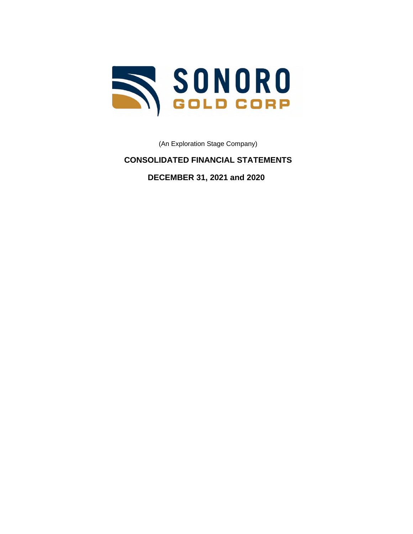

(An Exploration Stage Company)

## **CONSOLIDATED FINANCIAL STATEMENTS**

**DECEMBER 31, 2021 and 2020**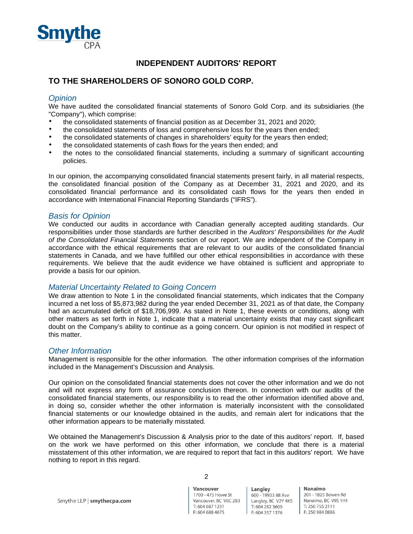

## **INDEPENDENT AUDITORS' REPORT**

## **TO THE SHAREHOLDERS OF SONORO GOLD CORP.**

## *Opinion*

We have audited the consolidated financial statements of Sonoro Gold Corp. and its subsidiaries (the "Company"), which comprise:

- the consolidated statements of financial position as at December 31, 2021 and 2020;
- the consolidated statements of loss and comprehensive loss for the years then ended;
- the consolidated statements of changes in shareholders' equity for the years then ended;
- the consolidated statements of cash flows for the years then ended; and
- the notes to the consolidated financial statements, including a summary of significant accounting policies.

In our opinion, the accompanying consolidated financial statements present fairly, in all material respects, the consolidated financial position of the Company as at December 31, 2021 and 2020, and its consolidated financial performance and its consolidated cash flows for the years then ended in accordance with International Financial Reporting Standards ("IFRS").

### *Basis for Opinion*

We conducted our audits in accordance with Canadian generally accepted auditing standards. Our responsibilities under those standards are further described in the *Auditors' Responsibilities for the Audit of the Consolidated Financial Statements* section of our report. We are independent of the Company in accordance with the ethical requirements that are relevant to our audits of the consolidated financial statements in Canada, and we have fulfilled our other ethical responsibilities in accordance with these requirements. We believe that the audit evidence we have obtained is sufficient and appropriate to provide a basis for our opinion.

## *Material Uncertainty Related to Going Concern*

We draw attention to Note 1 in the consolidated financial statements, which indicates that the Company incurred a net loss of \$5,873,982 during the year ended December 31, 2021 as of that date, the Company had an accumulated deficit of \$18,706,999. As stated in Note 1, these events or conditions, along with other matters as set forth in Note 1, indicate that a material uncertainty exists that may cast significant doubt on the Company's ability to continue as a going concern. Our opinion is not modified in respect of this matter.

## *Other Information*

Management is responsible for the other information. The other information comprises of the information included in the Management's Discussion and Analysis.

Our opinion on the consolidated financial statements does not cover the other information and we do not and will not express any form of assurance conclusion thereon. In connection with our audits of the consolidated financial statements, our responsibility is to read the other information identified above and, in doing so, consider whether the other information is materially inconsistent with the consolidated financial statements or our knowledge obtained in the audits, and remain alert for indications that the other information appears to be materially misstated.

We obtained the Management's Discussion & Analysis prior to the date of this auditors' report. If, based on the work we have performed on this other information, we conclude that there is a material misstatement of this other information, we are required to report that fact in this auditors' report. We have nothing to report in this regard.

2

Langley 600 - 19933 88 Ave Langley, BC V2Y 4K5 T: 604 282 3600 F: 604 357 1376

Nanaimo 201 - 1825 Bowen Rd Nanaimo, BC V9S 1H1 T: 250 755 2111 F: 250 984 0886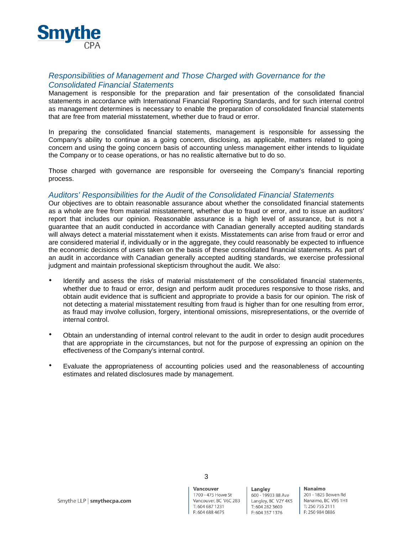

## *Responsibilities of Management and Those Charged with Governance for the Consolidated Financial Statements*

Management is responsible for the preparation and fair presentation of the consolidated financial statements in accordance with International Financial Reporting Standards, and for such internal control as management determines is necessary to enable the preparation of consolidated financial statements that are free from material misstatement, whether due to fraud or error.

In preparing the consolidated financial statements, management is responsible for assessing the Company's ability to continue as a going concern, disclosing, as applicable, matters related to going concern and using the going concern basis of accounting unless management either intends to liquidate the Company or to cease operations, or has no realistic alternative but to do so.

Those charged with governance are responsible for overseeing the Company's financial reporting process.

## *Auditors' Responsibilities for the Audit of the Consolidated Financial Statements*

Our objectives are to obtain reasonable assurance about whether the consolidated financial statements as a whole are free from material misstatement, whether due to fraud or error, and to issue an auditors' report that includes our opinion. Reasonable assurance is a high level of assurance, but is not a guarantee that an audit conducted in accordance with Canadian generally accepted auditing standards will always detect a material misstatement when it exists. Misstatements can arise from fraud or error and are considered material if, individually or in the aggregate, they could reasonably be expected to influence the economic decisions of users taken on the basis of these consolidated financial statements. As part of an audit in accordance with Canadian generally accepted auditing standards, we exercise professional judgment and maintain professional skepticism throughout the audit. We also:

- Identify and assess the risks of material misstatement of the consolidated financial statements, whether due to fraud or error, design and perform audit procedures responsive to those risks, and obtain audit evidence that is sufficient and appropriate to provide a basis for our opinion. The risk of not detecting a material misstatement resulting from fraud is higher than for one resulting from error, as fraud may involve collusion, forgery, intentional omissions, misrepresentations, or the override of internal control.
- Obtain an understanding of internal control relevant to the audit in order to design audit procedures that are appropriate in the circumstances, but not for the purpose of expressing an opinion on the effectiveness of the Company's internal control.
- Evaluate the appropriateness of accounting policies used and the reasonableness of accounting estimates and related disclosures made by management.

Langley 600 - 19933 88 Ave Langley, BC V2Y 4K5 T: 604 282 3600 F: 604 357 1376

Nanaimo 201 - 1825 Bowen Rd Nanaimo, BC V9S 1H1 T: 250 755 2111 F: 250 984 0886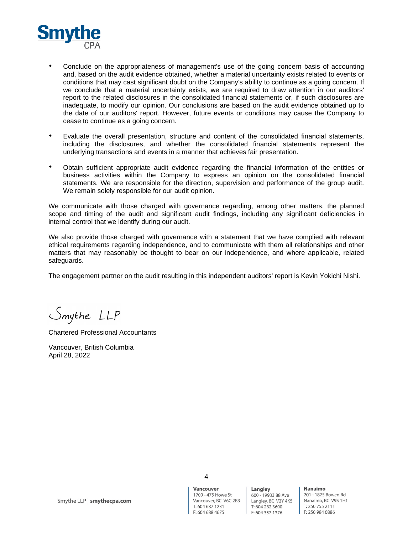

- Conclude on the appropriateness of management's use of the going concern basis of accounting and, based on the audit evidence obtained, whether a material uncertainty exists related to events or conditions that may cast significant doubt on the Company's ability to continue as a going concern. If we conclude that a material uncertainty exists, we are required to draw attention in our auditors' report to the related disclosures in the consolidated financial statements or, if such disclosures are inadequate, to modify our opinion. Our conclusions are based on the audit evidence obtained up to the date of our auditors' report. However, future events or conditions may cause the Company to cease to continue as a going concern.
- Evaluate the overall presentation, structure and content of the consolidated financial statements, including the disclosures, and whether the consolidated financial statements represent the underlying transactions and events in a manner that achieves fair presentation.
- Obtain sufficient appropriate audit evidence regarding the financial information of the entities or business activities within the Company to express an opinion on the consolidated financial statements. We are responsible for the direction, supervision and performance of the group audit. We remain solely responsible for our audit opinion.

We communicate with those charged with governance regarding, among other matters, the planned scope and timing of the audit and significant audit findings, including any significant deficiencies in internal control that we identify during our audit.

We also provide those charged with governance with a statement that we have complied with relevant ethical requirements regarding independence, and to communicate with them all relationships and other matters that may reasonably be thought to bear on our independence, and where applicable, related safeguards.

The engagement partner on the audit resulting in this independent auditors' report is Kevin Yokichi Nishi.

Smythe LLP

Chartered Professional Accountants

Vancouver, British Columbia April 28, 2022

Vancouver 1700 - 475 Howe St Vancouver, BC V6C 2B3 T: 604 687 1231  $F: 6046884675$ 

Langley 600 - 19933 88 Ave Langley, BC V2Y 4K5 T: 604 282 3600 F: 604 357 1376

Nanaimo 201 - 1825 Bowen Rd Nanaimo, BC V9S 1H1 T: 250 755 2111 F: 250 984 0886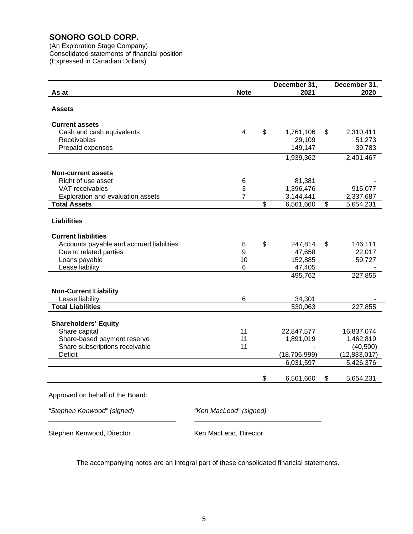(An Exploration Stage Company) Consolidated statements of financial position (Expressed in Canadian Dollars)

| As at                                            | <b>Note</b>            | December 31,<br>2021        | December 31,<br>2020        |
|--------------------------------------------------|------------------------|-----------------------------|-----------------------------|
|                                                  |                        |                             |                             |
| <b>Assets</b>                                    |                        |                             |                             |
| <b>Current assets</b>                            |                        |                             |                             |
| Cash and cash equivalents                        | \$<br>4                | 1,761,106                   | \$<br>2,310,411             |
| <b>Receivables</b>                               |                        | 29,109                      | 51,273                      |
| Prepaid expenses                                 |                        | 149,147                     | 39,783                      |
|                                                  |                        | 1,939,362                   | 2,401,467                   |
| <b>Non-current assets</b>                        |                        |                             |                             |
| Right of use asset                               | 6                      | 81,381                      |                             |
| VAT receivables                                  | 3                      | 1,396,476                   | 915,077                     |
| Exploration and evaluation assets                | 7                      | 3,144,441                   | 2,337,687                   |
| <b>Total Assets</b>                              | $\overline{\$}$        | 6,561,660                   | \$<br>5,654,231             |
|                                                  |                        |                             |                             |
| <b>Liabilities</b>                               |                        |                             |                             |
| <b>Current liabilities</b>                       |                        |                             |                             |
| Accounts payable and accrued liabilities         | \$<br>8                | 247,814                     | \$<br>146,111               |
| Due to related parties                           | 9                      | 47,658                      | 22,017                      |
| Loans payable                                    | 10                     | 152,885                     | 59,727                      |
| Lease liability                                  | 6                      | 47,405                      |                             |
|                                                  |                        | 495,762                     | 227,855                     |
| <b>Non-Current Liability</b>                     |                        |                             |                             |
| Lease liability                                  | 6                      | 34,301                      |                             |
| <b>Total Liabilities</b>                         |                        | 530,063                     | 227,855                     |
|                                                  |                        |                             |                             |
| <b>Shareholders' Equity</b>                      |                        |                             |                             |
| Share capital                                    | 11                     | 22,847,577                  | 16,837,074                  |
| Share-based payment reserve                      | 11                     | 1,891,019                   | 1,462,819                   |
| Share subscriptions receivable<br><b>Deficit</b> | 11                     |                             | (40, 500)                   |
|                                                  |                        | (18, 706, 999)<br>6,031,597 | (12, 833, 017)<br>5,426,376 |
|                                                  |                        |                             |                             |
|                                                  | \$                     | 6,561,660                   | \$<br>5,654,231             |
| Approved on behalf of the Board:                 |                        |                             |                             |
|                                                  |                        |                             |                             |
| "Stephen Kenwood" (signed)                       | "Ken MacLeod" (signed) |                             |                             |

Stephen Kenwood, Director Ken MacLeod, Director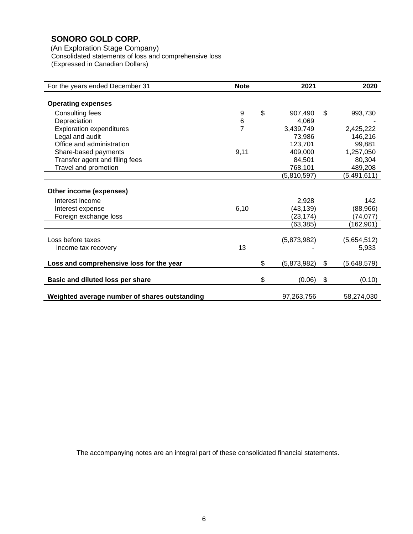(An Exploration Stage Company) Consolidated statements of loss and comprehensive loss (Expressed in Canadian Dollars)

| For the years ended December 31               | <b>Note</b>    | 2021              | 2020              |
|-----------------------------------------------|----------------|-------------------|-------------------|
|                                               |                |                   |                   |
| <b>Operating expenses</b>                     |                |                   |                   |
| Consulting fees                               | 9              | \$<br>907,490     | \$<br>993,730     |
| Depreciation                                  | 6              | 4.069             |                   |
| <b>Exploration expenditures</b>               | $\overline{7}$ | 3,439,749         | 2,425,222         |
| Legal and audit                               |                | 73,986            | 146,216           |
| Office and administration                     |                | 123,701           | 99,881            |
| Share-based payments                          | 9,11           | 409,000           | 1,257,050         |
| Transfer agent and filing fees                |                | 84,501            | 80,304            |
| Travel and promotion                          |                | 768,101           | 489,208           |
|                                               |                | (5,810,597)       | (5,491,611)       |
|                                               |                |                   |                   |
| Other income (expenses)                       |                |                   |                   |
| Interest income                               |                | 2,928             | 142               |
| Interest expense                              | 6,10           | (43, 139)         | (88,966)          |
| Foreign exchange loss                         |                | (23, 174)         | (74, 077)         |
|                                               |                | (63,385)          | (162, 901)        |
|                                               |                |                   |                   |
| Loss before taxes                             |                | (5,873,982)       | (5,654,512)       |
| Income tax recovery                           | 13             |                   | 5,933             |
|                                               |                |                   |                   |
| Loss and comprehensive loss for the year      |                | \$<br>(5,873,982) | \$<br>(5,648,579) |
|                                               |                |                   |                   |
| Basic and diluted loss per share              |                | \$<br>(0.06)      | \$<br>(0.10)      |
| Weighted average number of shares outstanding |                | 97,263,756        | 58,274,030        |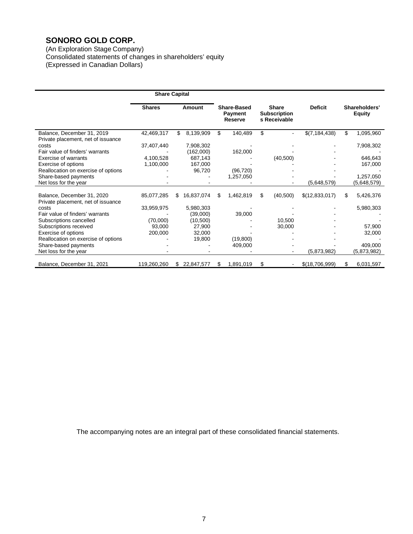(An Exploration Stage Company) Consolidated statements of changes in shareholders' equity (Expressed in Canadian Dollars)

|                                     | <b>Share Capital</b> |        |            |                                                 |           |                                                     |           |                 |                                |             |
|-------------------------------------|----------------------|--------|------------|-------------------------------------------------|-----------|-----------------------------------------------------|-----------|-----------------|--------------------------------|-------------|
|                                     | <b>Shares</b>        | Amount |            | <b>Share-Based</b><br>Payment<br><b>Reserve</b> |           | <b>Share</b><br><b>Subscription</b><br>s Receivable |           | <b>Deficit</b>  | Shareholders'<br><b>Equity</b> |             |
| Balance, December 31, 2019          | 42,469,317           | \$     | 8,139,909  | \$                                              | 140,489   | \$                                                  |           | \$(7, 184, 438) | \$                             | 1,095,960   |
| Private placement, net of issuance  |                      |        |            |                                                 |           |                                                     |           |                 |                                |             |
| costs                               | 37,407,440           |        | 7,908,302  |                                                 |           |                                                     |           |                 |                                | 7,908,302   |
| Fair value of finders' warrants     |                      |        | (162,000)  |                                                 | 162,000   |                                                     |           |                 |                                |             |
| Exercise of warrants                | 4,100,528            |        | 687,143    |                                                 |           |                                                     | (40, 500) |                 |                                | 646,643     |
| Exercise of options                 | 1,100,000            |        | 167,000    |                                                 |           |                                                     |           |                 |                                | 167,000     |
| Reallocation on exercise of options |                      |        | 96,720     |                                                 | (96, 720) |                                                     |           |                 |                                |             |
| Share-based payments                |                      |        |            |                                                 | 1,257,050 |                                                     |           |                 |                                | 1,257,050   |
| Net loss for the year               |                      |        |            |                                                 |           |                                                     |           | (5,648,579)     |                                | (5,648,579) |
|                                     |                      |        |            |                                                 |           |                                                     |           |                 |                                |             |
| Balance, December 31, 2020          | 85,077,285           | S      | 16,837,074 | S                                               | 1,462,819 | S                                                   | (40, 500) | \$(12,833,017)  | \$                             | 5,426,376   |
| Private placement, net of issuance  |                      |        |            |                                                 |           |                                                     |           |                 |                                |             |
| costs                               | 33,959,975           |        | 5,980,303  |                                                 |           |                                                     |           |                 |                                | 5,980,303   |
| Fair value of finders' warrants     |                      |        | (39,000)   |                                                 | 39,000    |                                                     |           |                 |                                |             |
| Subscriptions cancelled             | (70,000)             |        | (10, 500)  |                                                 |           |                                                     | 10,500    |                 |                                |             |
| Subscriptions received              | 93,000               |        | 27,900     |                                                 |           |                                                     | 30,000    |                 |                                | 57,900      |
| Exercise of options                 | 200,000              |        | 32,000     |                                                 |           |                                                     |           |                 |                                | 32,000      |
| Reallocation on exercise of options |                      |        | 19,800     |                                                 | (19, 800) |                                                     |           |                 |                                |             |
| Share-based payments                |                      |        |            |                                                 | 409,000   |                                                     |           |                 |                                | 409,000     |
| Net loss for the year               |                      |        |            |                                                 |           |                                                     |           | (5,873,982)     |                                | (5,873,982) |
| Balance, December 31, 2021          | 119,260,260          | S      | 22,847,577 | S                                               | 1,891,019 | S                                                   |           | \$(18,706,999)  | \$                             | 6,031,597   |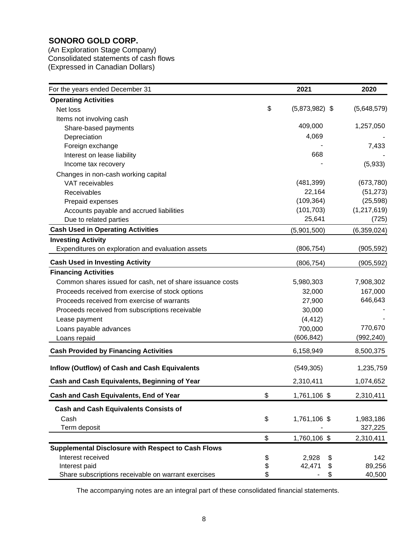(An Exploration Stage Company) Consolidated statements of cash flows (Expressed in Canadian Dollars)

| For the years ended December 31                            |          | 2021                        | 2020          |
|------------------------------------------------------------|----------|-----------------------------|---------------|
| <b>Operating Activities</b>                                |          |                             |               |
| Net loss                                                   | \$       | $(5,873,982)$ \$            | (5,648,579)   |
| Items not involving cash                                   |          |                             |               |
| Share-based payments                                       |          | 409,000                     | 1,257,050     |
| Depreciation                                               |          | 4,069                       |               |
| Foreign exchange                                           |          |                             | 7,433         |
| Interest on lease liability                                |          | 668                         |               |
| Income tax recovery                                        |          |                             | (5,933)       |
| Changes in non-cash working capital                        |          |                             |               |
| VAT receivables                                            |          | (481, 399)                  | (673, 780)    |
| Receivables                                                |          | 22,164                      | (51, 273)     |
| Prepaid expenses                                           |          | (109, 364)                  | (25, 598)     |
| Accounts payable and accrued liabilities                   |          | (101, 703)                  | (1, 217, 619) |
| Due to related parties                                     |          | 25,641                      | (725)         |
| <b>Cash Used in Operating Activities</b>                   |          | (5,901,500)                 | (6,359,024)   |
| <b>Investing Activity</b>                                  |          |                             |               |
| Expenditures on exploration and evaluation assets          |          | (806, 754)                  | (905, 592)    |
| <b>Cash Used in Investing Activity</b>                     |          | (806, 754)                  | (905, 592)    |
| <b>Financing Activities</b>                                |          |                             |               |
| Common shares issued for cash, net of share issuance costs |          | 5,980,303                   | 7,908,302     |
| Proceeds received from exercise of stock options           |          | 32,000                      | 167,000       |
| Proceeds received from exercise of warrants                |          | 27,900                      | 646,643       |
| Proceeds received from subscriptions receivable            |          | 30,000                      |               |
| Lease payment                                              |          | (4, 412)                    |               |
| Loans payable advances                                     |          | 700,000                     | 770,670       |
| Loans repaid                                               |          | (606, 842)                  | (992, 240)    |
| <b>Cash Provided by Financing Activities</b>               |          | 6,158,949                   | 8,500,375     |
| <b>Inflow (Outflow) of Cash and Cash Equivalents</b>       |          | (549, 305)                  | 1,235,759     |
| Cash and Cash Equivalents, Beginning of Year               |          | 2,310,411                   | 1,074,652     |
| Cash and Cash Equivalents, End of Year                     | \$       | 1,761,106 \$                | 2,310,411     |
| <b>Cash and Cash Equivalents Consists of</b>               |          |                             |               |
| Cash                                                       | \$       | 1,761,106 \$                | 1,983,186     |
| Term deposit                                               |          |                             | 327,225       |
|                                                            | \$       | 1,760,106 \$                | 2,310,411     |
| Supplemental Disclosure with Respect to Cash Flows         |          |                             |               |
| Interest received                                          |          |                             |               |
| Interest paid                                              | \$<br>\$ | 2,928<br>\$<br>42,471<br>\$ | 142<br>89,256 |
| Share subscriptions receivable on warrant exercises        | \$       | \$                          | 40,500        |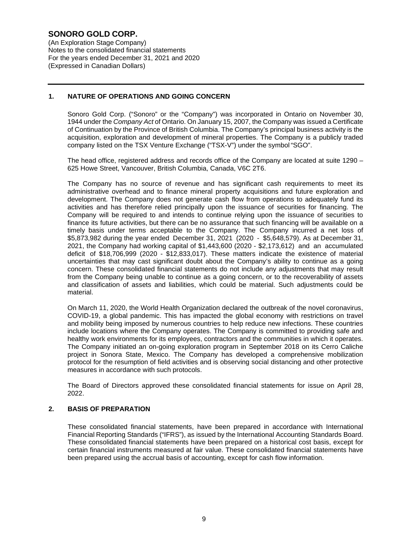(An Exploration Stage Company) Notes to the consolidated financial statements For the years ended December 31, 2021 and 2020 (Expressed in Canadian Dollars)

## **1. NATURE OF OPERATIONS AND GOING CONCERN**

Sonoro Gold Corp. ("Sonoro" or the "Company") was incorporated in Ontario on November 30, 1944 under the *Company Act* of Ontario. On January 15, 2007, the Company was issued a Certificate of Continuation by the Province of British Columbia. The Company's principal business activity is the acquisition, exploration and development of mineral properties. The Company is a publicly traded company listed on the TSX Venture Exchange ("TSX-V") under the symbol "SGO".

The head office, registered address and records office of the Company are located at suite 1290 – 625 Howe Street, Vancouver, British Columbia, Canada, V6C 2T6.

The Company has no source of revenue and has significant cash requirements to meet its administrative overhead and to finance mineral property acquisitions and future exploration and development. The Company does not generate cash flow from operations to adequately fund its activities and has therefore relied principally upon the issuance of securities for financing. The Company will be required to and intends to continue relying upon the issuance of securities to finance its future activities, but there can be no assurance that such financing will be available on a timely basis under terms acceptable to the Company. The Company incurred a net loss of \$5,873,982 during the year ended December 31, 2021 (2020 - \$5,648,579). As at December 31, 2021, the Company had working capital of \$1,443,600 (2020 - \$2,173,612) and an accumulated deficit of \$18,706,999 (2020 - \$12,833,017). These matters indicate the existence of material uncertainties that may cast significant doubt about the Company's ability to continue as a going concern. These consolidated financial statements do not include any adjustments that may result from the Company being unable to continue as a going concern, or to the recoverability of assets and classification of assets and liabilities, which could be material. Such adjustments could be material.

On March 11, 2020, the World Health Organization declared the outbreak of the novel coronavirus, COVID-19, a global pandemic. This has impacted the global economy with restrictions on travel and mobility being imposed by numerous countries to help reduce new infections. These countries include locations where the Company operates. The Company is committed to providing safe and healthy work environments for its employees, contractors and the communities in which it operates. The Company initiated an on-going exploration program in September 2018 on its Cerro Caliche project in Sonora State, Mexico. The Company has developed a comprehensive mobilization protocol for the resumption of field activities and is observing social distancing and other protective measures in accordance with such protocols.

The Board of Directors approved these consolidated financial statements for issue on April 28, 2022.

## **2. BASIS OF PREPARATION**

These consolidated financial statements, have been prepared in accordance with International Financial Reporting Standards ("IFRS"), as issued by the International Accounting Standards Board. These consolidated financial statements have been prepared on a historical cost basis, except for certain financial instruments measured at fair value. These consolidated financial statements have been prepared using the accrual basis of accounting, except for cash flow information.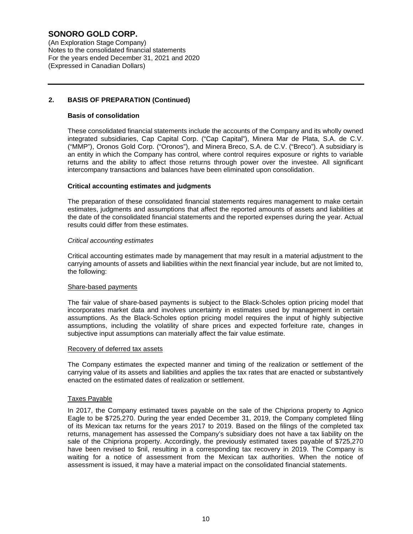(An Exploration Stage Company) Notes to the consolidated financial statements For the years ended December 31, 2021 and 2020 (Expressed in Canadian Dollars)

## **2. BASIS OF PREPARATION (Continued)**

### **Basis of consolidation**

These consolidated financial statements include the accounts of the Company and its wholly owned integrated subsidiaries, Cap Capital Corp. ("Cap Capital"), Minera Mar de Plata, S.A. de C.V. ("MMP"), Oronos Gold Corp. ("Oronos"), and Minera Breco, S.A. de C.V. ("Breco"). A subsidiary is an entity in which the Company has control, where control requires exposure or rights to variable returns and the ability to affect those returns through power over the investee. All significant intercompany transactions and balances have been eliminated upon consolidation.

### **Critical accounting estimates and judgments**

The preparation of these consolidated financial statements requires management to make certain estimates, judgments and assumptions that affect the reported amounts of assets and liabilities at the date of the consolidated financial statements and the reported expenses during the year. Actual results could differ from these estimates.

#### *Critical accounting estimates*

Critical accounting estimates made by management that may result in a material adjustment to the carrying amounts of assets and liabilities within the next financial year include, but are not limited to, the following:

#### Share-based payments

The fair value of share-based payments is subject to the Black-Scholes option pricing model that incorporates market data and involves uncertainty in estimates used by management in certain assumptions. As the Black-Scholes option pricing model requires the input of highly subjective assumptions, including the volatility of share prices and expected forfeiture rate, changes in subjective input assumptions can materially affect the fair value estimate.

#### Recovery of deferred tax assets

The Company estimates the expected manner and timing of the realization or settlement of the carrying value of its assets and liabilities and applies the tax rates that are enacted or substantively enacted on the estimated dates of realization or settlement.

#### Taxes Payable

In 2017, the Company estimated taxes payable on the sale of the Chipriona property to Agnico Eagle to be \$725,270. During the year ended December 31, 2019, the Company completed filing of its Mexican tax returns for the years 2017 to 2019. Based on the filings of the completed tax returns, management has assessed the Company's subsidiary does not have a tax liability on the sale of the Chipriona property. Accordingly, the previously estimated taxes payable of \$725,270 have been revised to \$nil, resulting in a corresponding tax recovery in 2019. The Company is waiting for a notice of assessment from the Mexican tax authorities. When the notice of assessment is issued, it may have a material impact on the consolidated financial statements.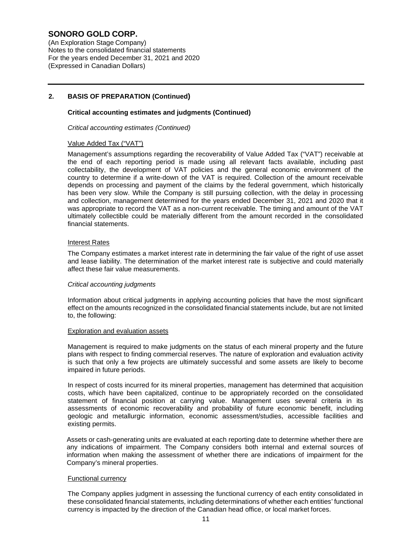(An Exploration Stage Company) Notes to the consolidated financial statements For the years ended December 31, 2021 and 2020 (Expressed in Canadian Dollars)

## **2. BASIS OF PREPARATION (Continued)**

### **Critical accounting estimates and judgments (Continued)**

*Critical accounting estimates (Continued)* 

### Value Added Tax ("VAT")

Management's assumptions regarding the recoverability of Value Added Tax ("VAT") receivable at the end of each reporting period is made using all relevant facts available, including past collectability, the development of VAT policies and the general economic environment of the country to determine if a write-down of the VAT is required. Collection of the amount receivable depends on processing and payment of the claims by the federal government, which historically has been very slow. While the Company is still pursuing collection, with the delay in processing and collection, management determined for the years ended December 31, 2021 and 2020 that it was appropriate to record the VAT as a non-current receivable. The timing and amount of the VAT ultimately collectible could be materially different from the amount recorded in the consolidated financial statements.

### Interest Rates

The Company estimates a market interest rate in determining the fair value of the right of use asset and lease liability. The determination of the market interest rate is subjective and could materially affect these fair value measurements.

#### *Critical accounting judgments*

Information about critical judgments in applying accounting policies that have the most significant effect on the amounts recognized in the consolidated financial statements include, but are not limited to, the following:

#### Exploration and evaluation assets

Management is required to make judgments on the status of each mineral property and the future plans with respect to finding commercial reserves. The nature of exploration and evaluation activity is such that only a few projects are ultimately successful and some assets are likely to become impaired in future periods.

In respect of costs incurred for its mineral properties, management has determined that acquisition costs, which have been capitalized, continue to be appropriately recorded on the consolidated statement of financial position at carrying value. Management uses several criteria in its assessments of economic recoverability and probability of future economic benefit, including geologic and metallurgic information, economic assessment/studies, accessible facilities and existing permits.

Assets or cash-generating units are evaluated at each reporting date to determine whether there are any indications of impairment. The Company considers both internal and external sources of information when making the assessment of whether there are indications of impairment for the Company's mineral properties.

## Functional currency

The Company applies judgment in assessing the functional currency of each entity consolidated in these consolidated financial statements, including determinations of whether each entities' functional currency is impacted by the direction of the Canadian head office, or local market forces.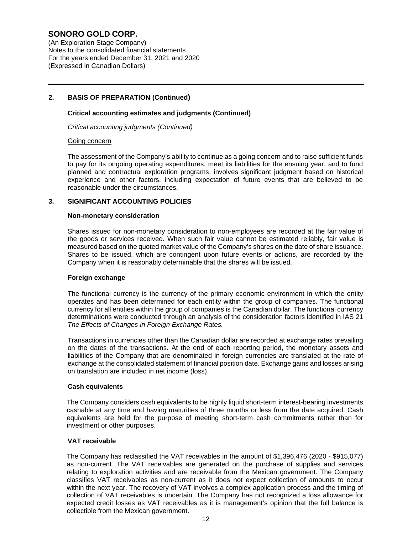(An Exploration Stage Company) Notes to the consolidated financial statements For the years ended December 31, 2021 and 2020 (Expressed in Canadian Dollars)

## **2. BASIS OF PREPARATION (Continued)**

#### **Critical accounting estimates and judgments (Continued)**

*Critical accounting judgments (Continued)* 

### Going concern

The assessment of the Company's ability to continue as a going concern and to raise sufficient funds to pay for its ongoing operating expenditures, meet its liabilities for the ensuing year, and to fund planned and contractual exploration programs, involves significant judgment based on historical experience and other factors, including expectation of future events that are believed to be reasonable under the circumstances.

### **3. SIGNIFICANT ACCOUNTING POLICIES**

### **Non-monetary consideration**

Shares issued for non-monetary consideration to non-employees are recorded at the fair value of the goods or services received. When such fair value cannot be estimated reliably, fair value is measured based on the quoted market value of the Company's shares on the date of share issuance. Shares to be issued, which are contingent upon future events or actions, are recorded by the Company when it is reasonably determinable that the shares will be issued.

## **Foreign exchange**

The functional currency is the currency of the primary economic environment in which the entity operates and has been determined for each entity within the group of companies. The functional currency for all entities within the group of companies is the Canadian dollar. The functional currency determinations were conducted through an analysis of the consideration factors identified in IAS 21 *The Effects of Changes in Foreign Exchange Rates.* 

Transactions in currencies other than the Canadian dollar are recorded at exchange rates prevailing on the dates of the transactions. At the end of each reporting period, the monetary assets and liabilities of the Company that are denominated in foreign currencies are translated at the rate of exchange at the consolidated statement of financial position date. Exchange gains and losses arising on translation are included in net income (loss).

#### **Cash equivalents**

The Company considers cash equivalents to be highly liquid short-term interest-bearing investments cashable at any time and having maturities of three months or less from the date acquired. Cash equivalents are held for the purpose of meeting short-term cash commitments rather than for investment or other purposes.

## **VAT receivable**

The Company has reclassified the VAT receivables in the amount of \$1,396,476 (2020 - \$915,077) as non-current. The VAT receivables are generated on the purchase of supplies and services relating to exploration activities and are receivable from the Mexican government. The Company classifies VAT receivables as non-current as it does not expect collection of amounts to occur within the next year. The recovery of VAT involves a complex application process and the timing of collection of VAT receivables is uncertain. The Company has not recognized a loss allowance for expected credit losses as VAT receivables as it is management's opinion that the full balance is collectible from the Mexican government.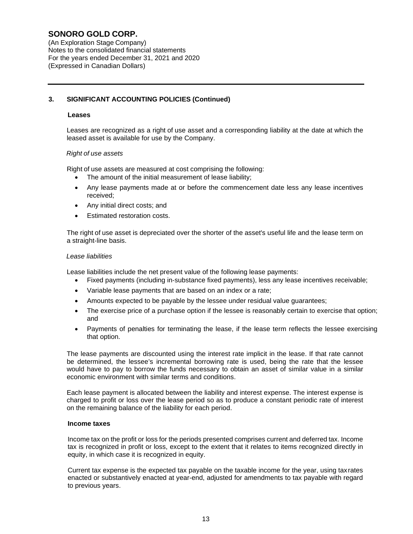(An Exploration Stage Company) Notes to the consolidated financial statements For the years ended December 31, 2021 and 2020 (Expressed in Canadian Dollars)

## **3. SIGNIFICANT ACCOUNTING POLICIES (Continued)**

#### **Leases**

Leases are recognized as a right of use asset and a corresponding liability at the date at which the leased asset is available for use by the Company.

#### *Right of use assets*

Right of use assets are measured at cost comprising the following:

- The amount of the initial measurement of lease liability;
- Any lease payments made at or before the commencement date less any lease incentives received;
- Any initial direct costs; and
- Estimated restoration costs.

The right of use asset is depreciated over the shorter of the asset's useful life and the lease term on a straight‐line basis.

#### *Lease liabilities*

Lease liabilities include the net present value of the following lease payments:

- Fixed payments (including in‐substance fixed payments), less any lease incentives receivable;
- Variable lease payments that are based on an index or a rate;
- Amounts expected to be payable by the lessee under residual value guarantees;
- The exercise price of a purchase option if the lessee is reasonably certain to exercise that option; and
- Payments of penalties for terminating the lease, if the lease term reflects the lessee exercising that option.

The lease payments are discounted using the interest rate implicit in the lease. If that rate cannot be determined, the lessee's incremental borrowing rate is used, being the rate that the lessee would have to pay to borrow the funds necessary to obtain an asset of similar value in a similar economic environment with similar terms and conditions.

Each lease payment is allocated between the liability and interest expense. The interest expense is charged to profit or loss over the lease period so as to produce a constant periodic rate of interest on the remaining balance of the liability for each period.

#### **Income taxes**

Income tax on the profit or loss for the periods presented comprises current and deferred tax. Income tax is recognized in profit or loss, except to the extent that it relates to items recognized directly in equity, in which case it is recognized in equity.

Current tax expense is the expected tax payable on the taxable income for the year, using tax rates enacted or substantively enacted at year-end, adjusted for amendments to tax payable with regard to previous years.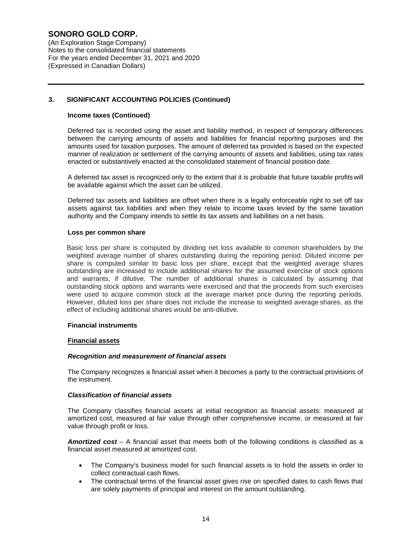(An Exploration Stage Company) Notes to the consolidated financial statements For the years ended December 31, 2021 and 2020 (Expressed in Canadian Dollars)

## **3. SIGNIFICANT ACCOUNTING POLICIES (Continued)**

### **Income taxes (Continued)**

Deferred tax is recorded using the asset and liability method, in respect of temporary differences between the carrying amounts of assets and liabilities for financial reporting purposes and the amounts used for taxation purposes. The amount of deferred tax provided is based on the expected manner of realization or settlement of the carrying amounts of assets and liabilities, using tax rates enacted or substantively enacted at the consolidated statement of financial position date.

A deferred tax asset is recognized only to the extent that it is probable that future taxable profits will be available against which the asset can be utilized.

Deferred tax assets and liabilities are offset when there is a legally enforceable right to set off tax assets against tax liabilities and when they relate to income taxes levied by the same taxation authority and the Company intends to settle its tax assets and liabilities on a net basis.

### **Loss per common share**

Basic loss per share is computed by dividing net loss available to common shareholders by the weighted average number of shares outstanding during the reporting period. Diluted income per share is computed similar to basic loss per share, except that the weighted average shares outstanding are increased to include additional shares for the assumed exercise of stock options and warrants, if dilutive. The number of additional shares is calculated by assuming that outstanding stock options and warrants were exercised and that the proceeds from such exercises were used to acquire common stock at the average market price during the reporting periods. However, diluted loss per share does not include the increase to weighted average shares, as the effect of including additional shares would be anti-dilutive.

#### **Financial instruments**

#### **Financial assets**

#### *Recognition and measurement of financial assets*

The Company recognizes a financial asset when it becomes a party to the contractual provisions of the instrument.

#### *Classification of financial assets*

The Company classifies financial assets at initial recognition as financial assets: measured at amortized cost, measured at fair value through other comprehensive income, or measured at fair value through profit or loss.

*Amortized cost* – A financial asset that meets both of the following conditions is classified as a financial asset measured at amortized cost.

- The Company's business model for such financial assets is to hold the assets in order to collect contractual cash flows.
- The contractual terms of the financial asset gives rise on specified dates to cash flows that are solely payments of principal and interest on the amount outstanding.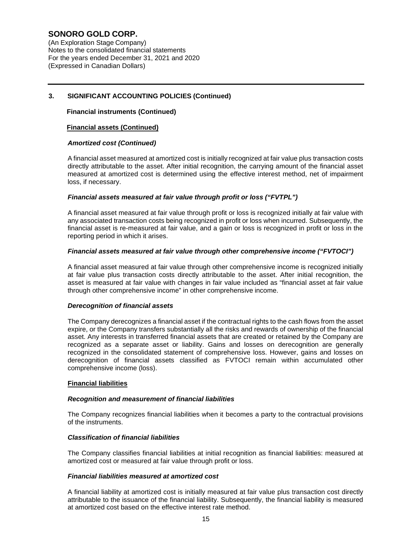(An Exploration Stage Company) Notes to the consolidated financial statements For the years ended December 31, 2021 and 2020 (Expressed in Canadian Dollars)

## **3. SIGNIFICANT ACCOUNTING POLICIES (Continued)**

### **Financial instruments (Continued)**

### **Financial assets (Continued)**

## *Amortized cost (Continued)*

A financial asset measured at amortized cost is initially recognized at fair value plus transaction costs directly attributable to the asset. After initial recognition, the carrying amount of the financial asset measured at amortized cost is determined using the effective interest method, net of impairment loss, if necessary.

### *Financial assets measured at fair value through profit or loss ("FVTPL")*

A financial asset measured at fair value through profit or loss is recognized initially at fair value with any associated transaction costs being recognized in profit or loss when incurred. Subsequently, the financial asset is re-measured at fair value, and a gain or loss is recognized in profit or loss in the reporting period in which it arises.

### *Financial assets measured at fair value through other comprehensive income ("FVTOCI")*

A financial asset measured at fair value through other comprehensive income is recognized initially at fair value plus transaction costs directly attributable to the asset. After initial recognition, the asset is measured at fair value with changes in fair value included as "financial asset at fair value through other comprehensive income" in other comprehensive income.

#### *Derecognition of financial assets*

The Company derecognizes a financial asset if the contractual rights to the cash flows from the asset expire, or the Company transfers substantially all the risks and rewards of ownership of the financial asset. Any interests in transferred financial assets that are created or retained by the Company are recognized as a separate asset or liability. Gains and losses on derecognition are generally recognized in the consolidated statement of comprehensive loss. However, gains and losses on derecognition of financial assets classified as FVTOCI remain within accumulated other comprehensive income (loss).

#### **Financial liabilities**

#### *Recognition and measurement of financial liabilities*

The Company recognizes financial liabilities when it becomes a party to the contractual provisions of the instruments.

#### *Classification of financial liabilities*

The Company classifies financial liabilities at initial recognition as financial liabilities: measured at amortized cost or measured at fair value through profit or loss.

#### *Financial liabilities measured at amortized cost*

A financial liability at amortized cost is initially measured at fair value plus transaction cost directly attributable to the issuance of the financial liability. Subsequently, the financial liability is measured at amortized cost based on the effective interest rate method.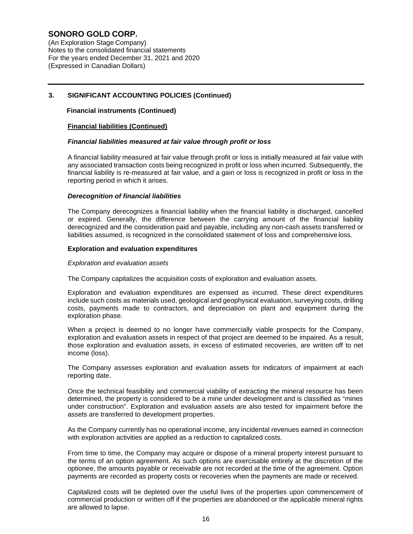(An Exploration Stage Company) Notes to the consolidated financial statements For the years ended December 31, 2021 and 2020 (Expressed in Canadian Dollars)

## **3. SIGNIFICANT ACCOUNTING POLICIES (Continued)**

### **Financial instruments (Continued)**

### **Financial liabilities (Continued)**

### *Financial liabilities measured at fair value through profit or loss*

A financial liability measured at fair value through profit or loss is initially measured at fair value with any associated transaction costs being recognized in profit or loss when incurred. Subsequently, the financial liability is re-measured at fair value, and a gain or loss is recognized in profit or loss in the reporting period in which it arises.

#### *Derecognition of financial liabilities*

The Company derecognizes a financial liability when the financial liability is discharged, cancelled or expired. Generally, the difference between the carrying amount of the financial liability derecognized and the consideration paid and payable, including any non-cash assets transferred or liabilities assumed, is recognized in the consolidated statement of loss and comprehensive loss.

#### **Exploration and evaluation expenditures**

#### *Exploration and evaluation assets*

The Company capitalizes the acquisition costs of exploration and evaluation assets.

Exploration and evaluation expenditures are expensed as incurred. These direct expenditures include such costs as materials used, geological and geophysical evaluation, surveying costs, drilling costs, payments made to contractors, and depreciation on plant and equipment during the exploration phase.

When a project is deemed to no longer have commercially viable prospects for the Company, exploration and evaluation assets in respect of that project are deemed to be impaired. As a result, those exploration and evaluation assets, in excess of estimated recoveries, are written off to net income (loss).

The Company assesses exploration and evaluation assets for indicators of impairment at each reporting date.

Once the technical feasibility and commercial viability of extracting the mineral resource has been determined, the property is considered to be a mine under development and is classified as "mines under construction". Exploration and evaluation assets are also tested for impairment before the assets are transferred to development properties.

As the Company currently has no operational income, any incidental revenues earned in connection with exploration activities are applied as a reduction to capitalized costs.

From time to time, the Company may acquire or dispose of a mineral property interest pursuant to the terms of an option agreement. As such options are exercisable entirely at the discretion of the optionee, the amounts payable or receivable are not recorded at the time of the agreement. Option payments are recorded as property costs or recoveries when the payments are made or received.

Capitalized costs will be depleted over the useful lives of the properties upon commencement of commercial production or written off if the properties are abandoned or the applicable mineral rights are allowed to lapse.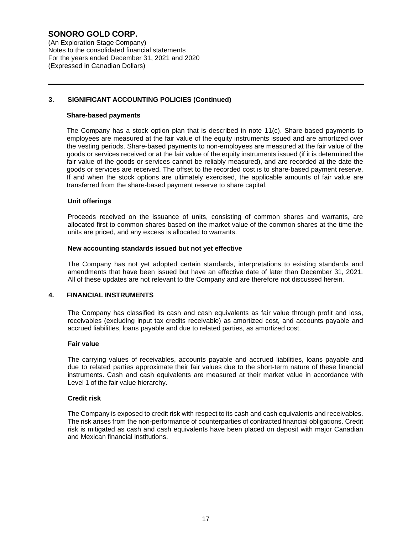(An Exploration Stage Company) Notes to the consolidated financial statements For the years ended December 31, 2021 and 2020 (Expressed in Canadian Dollars)

## **3. SIGNIFICANT ACCOUNTING POLICIES (Continued)**

### **Share-based payments**

The Company has a stock option plan that is described in note 11(c). Share-based payments to employees are measured at the fair value of the equity instruments issued and are amortized over the vesting periods. Share-based payments to non-employees are measured at the fair value of the goods or services received or at the fair value of the equity instruments issued (if it is determined the fair value of the goods or services cannot be reliably measured), and are recorded at the date the goods or services are received. The offset to the recorded cost is to share-based payment reserve. If and when the stock options are ultimately exercised, the applicable amounts of fair value are transferred from the share-based payment reserve to share capital.

### **Unit offerings**

Proceeds received on the issuance of units, consisting of common shares and warrants, are allocated first to common shares based on the market value of the common shares at the time the units are priced, and any excess is allocated to warrants.

### **New accounting standards issued but not yet effective**

The Company has not yet adopted certain standards, interpretations to existing standards and amendments that have been issued but have an effective date of later than December 31, 2021. All of these updates are not relevant to the Company and are therefore not discussed herein.

## **4. FINANCIAL INSTRUMENTS**

The Company has classified its cash and cash equivalents as fair value through profit and loss, receivables (excluding input tax credits receivable) as amortized cost, and accounts payable and accrued liabilities, loans payable and due to related parties, as amortized cost.

#### **Fair value**

The carrying values of receivables, accounts payable and accrued liabilities, loans payable and due to related parties approximate their fair values due to the short-term nature of these financial instruments. Cash and cash equivalents are measured at their market value in accordance with Level 1 of the fair value hierarchy.

## **Credit risk**

The Company is exposed to credit risk with respect to its cash and cash equivalents and receivables. The risk arises from the non-performance of counterparties of contracted financial obligations. Credit risk is mitigated as cash and cash equivalents have been placed on deposit with major Canadian and Mexican financial institutions.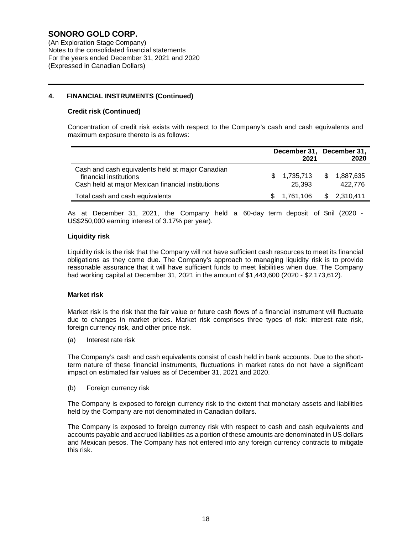(An Exploration Stage Company) Notes to the consolidated financial statements For the years ended December 31, 2021 and 2020 (Expressed in Canadian Dollars)

### **4. FINANCIAL INSTRUMENTS (Continued)**

### **Credit risk (Continued)**

Concentration of credit risk exists with respect to the Company's cash and cash equivalents and maximum exposure thereto is as follows:

|                                                                                                                                 |     | December 31,<br>2021  |    | December 31,<br>2020 |
|---------------------------------------------------------------------------------------------------------------------------------|-----|-----------------------|----|----------------------|
| Cash and cash equivalents held at major Canadian<br>financial institutions<br>Cash held at major Mexican financial institutions |     | \$1,735,713<br>25,393 | S. | 1,887,635<br>422,776 |
| Total cash and cash equivalents                                                                                                 | SS. | 1,761,106             |    | \$2,310,411          |

As at December 31, 2021, the Company held a 60-day term deposit of \$nil (2020 - US\$250,000 earning interest of 3.17% per year).

#### **Liquidity risk**

Liquidity risk is the risk that the Company will not have sufficient cash resources to meet its financial obligations as they come due. The Company's approach to managing liquidity risk is to provide reasonable assurance that it will have sufficient funds to meet liabilities when due. The Company had working capital at December 31, 2021 in the amount of \$1,443,600 (2020 - \$2,173,612).

#### **Market risk**

Market risk is the risk that the fair value or future cash flows of a financial instrument will fluctuate due to changes in market prices. Market risk comprises three types of risk: interest rate risk, foreign currency risk, and other price risk.

(a) Interest rate risk

The Company's cash and cash equivalents consist of cash held in bank accounts. Due to the shortterm nature of these financial instruments, fluctuations in market rates do not have a significant impact on estimated fair values as of December 31, 2021 and 2020.

(b) Foreign currency risk

The Company is exposed to foreign currency risk to the extent that monetary assets and liabilities held by the Company are not denominated in Canadian dollars.

The Company is exposed to foreign currency risk with respect to cash and cash equivalents and accounts payable and accrued liabilities as a portion of these amounts are denominated in US dollars and Mexican pesos. The Company has not entered into any foreign currency contracts to mitigate this risk.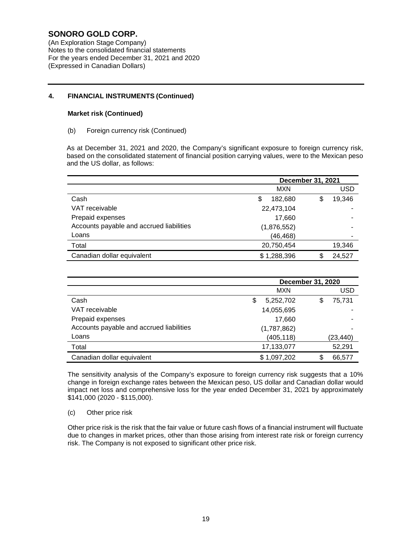(An Exploration Stage Company) Notes to the consolidated financial statements For the years ended December 31, 2021 and 2020 (Expressed in Canadian Dollars)

## **4. FINANCIAL INSTRUMENTS (Continued)**

### **Market risk (Continued)**

(b) Foreign currency risk (Continued)

As at December 31, 2021 and 2020, the Company's significant exposure to foreign currency risk, based on the consolidated statement of financial position carrying values, were to the Mexican peso and the US dollar, as follows:

|                                          | December 31, 2021 |              |  |  |  |
|------------------------------------------|-------------------|--------------|--|--|--|
|                                          | MXN               | <b>USD</b>   |  |  |  |
| Cash                                     | 182.680<br>\$     | 19.346<br>\$ |  |  |  |
| VAT receivable                           | 22,473,104        |              |  |  |  |
| Prepaid expenses                         | 17,660            | -            |  |  |  |
| Accounts payable and accrued liabilities | (1,876,552)       |              |  |  |  |
| Loans                                    | (46,468)          | -            |  |  |  |
| Total                                    | 20,750,454        | 19,346       |  |  |  |
| Canadian dollar equivalent               | \$1,288,396       | 24.527       |  |  |  |

|                                          |                 | December 31, 2020 |
|------------------------------------------|-----------------|-------------------|
|                                          | <b>MXN</b>      | USD               |
| Cash                                     | 5,252,702<br>\$ | 75,731            |
| VAT receivable                           | 14,055,695      |                   |
| Prepaid expenses                         | 17,660          |                   |
| Accounts payable and accrued liabilities | (1,787,862)     |                   |
| Loans                                    | (405, 118)      | (23, 440)         |
| Total                                    | 17,133,077      | 52,291            |
| Canadian dollar equivalent               | \$1,097,202     | 66,577            |

The sensitivity analysis of the Company's exposure to foreign currency risk suggests that a 10% change in foreign exchange rates between the Mexican peso, US dollar and Canadian dollar would impact net loss and comprehensive loss for the year ended December 31, 2021 by approximately \$141,000 (2020 - \$115,000).

#### (c) Other price risk

Other price risk is the risk that the fair value or future cash flows of a financial instrument will fluctuate due to changes in market prices, other than those arising from interest rate risk or foreign currency risk. The Company is not exposed to significant other price risk.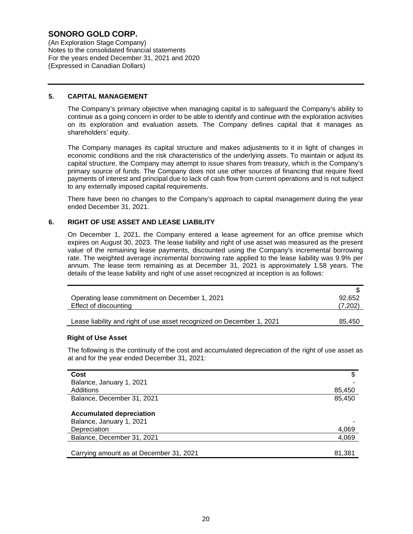(An Exploration Stage Company) Notes to the consolidated financial statements For the years ended December 31, 2021 and 2020 (Expressed in Canadian Dollars)

### **5. CAPITAL MANAGEMENT**

The Company's primary objective when managing capital is to safeguard the Company's ability to continue as a going concern in order to be able to identify and continue with the exploration activities on its exploration and evaluation assets. The Company defines capital that it manages as shareholders' equity.

The Company manages its capital structure and makes adjustments to it in light of changes in economic conditions and the risk characteristics of the underlying assets. To maintain or adjust its capital structure, the Company may attempt to issue shares from treasury, which is the Company's primary source of funds. The Company does not use other sources of financing that require fixed payments of interest and principal due to lack of cash flow from current operations and is not subject to any externally imposed capital requirements.

There have been no changes to the Company's approach to capital management during the year ended December 31, 2021.

## **6. RIGHT OF USE ASSET AND LEASE LIABILITY**

On December 1, 2021, the Company entered a lease agreement for an office premise which expires on August 30, 2023. The lease liability and right of use asset was measured as the present value of the remaining lease payments, discounted using the Company's incremental borrowing rate. The weighted average incremental borrowing rate applied to the lease liability was 9.9% per annum. The lease term remaining as at December 31, 2021 is approximately 1.58 years. The details of the lease liability and right of use asset recognized at inception is as follows:

| Operating lease commitment on December 1, 2021                        | 92.652  |
|-----------------------------------------------------------------------|---------|
| Effect of discounting                                                 | (7,202) |
|                                                                       |         |
| Lease liability and right of use asset recognized on December 1, 2021 | 85,450  |

#### **Right of Use Asset**

The following is the continuity of the cost and accumulated depreciation of the right of use asset as at and for the year ended December 31, 2021:

| Cost                                    | \$     |
|-----------------------------------------|--------|
| Balance, January 1, 2021                |        |
| Additions                               | 85,450 |
| Balance, December 31, 2021              | 85,450 |
|                                         |        |
| <b>Accumulated depreciation</b>         |        |
| Balance, January 1, 2021                |        |
| Depreciation                            | 4,069  |
| Balance, December 31, 2021              | 4,069  |
|                                         |        |
| Carrying amount as at December 31, 2021 | 81.381 |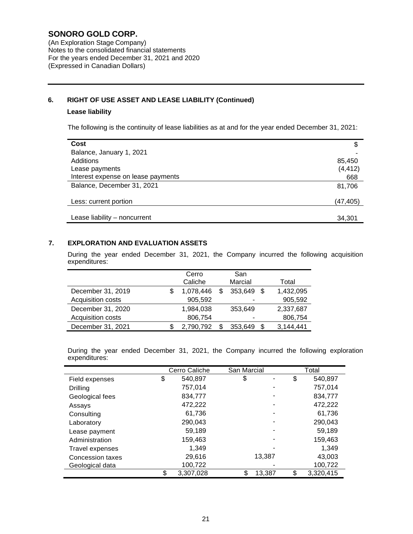(An Exploration Stage Company) Notes to the consolidated financial statements For the years ended December 31, 2021 and 2020 (Expressed in Canadian Dollars)

## **6. RIGHT OF USE ASSET AND LEASE LIABILITY (Continued)**

### **Lease liability**

The following is the continuity of lease liabilities as at and for the year ended December 31, 2021:

| Cost                               | \$       |
|------------------------------------|----------|
| Balance, January 1, 2021           |          |
| Additions                          | 85,450   |
| Lease payments                     | (4, 412) |
| Interest expense on lease payments | 668      |
| Balance, December 31, 2021         | 81,706   |
|                                    |          |
| Less: current portion              | (47,405) |
|                                    |          |
| Lease liability - noncurrent       | 34.301   |

## **7. EXPLORATION AND EVALUATION ASSETS**

During the year ended December 31, 2021, the Company incurred the following acquisition expenditures:

|                   | Cerro<br>Caliche | San<br>Marcial |   | Total     |
|-------------------|------------------|----------------|---|-----------|
| December 31, 2019 | 1,078,446        | 353,649        | S | 1,432,095 |
| Acquisition costs | 905,592          |                |   | 905,592   |
| December 31, 2020 | 1,984,038        | 353,649        |   | 2,337,687 |
| Acquisition costs | 806,754          |                |   | 806,754   |
| December 31, 2021 | 2,790,792        | 353,649        |   | 3,144,441 |

During the year ended December 31, 2021, the Company incurred the following exploration expenditures:

|                  | Cerro Caliche   | San Marcial |        | Total           |
|------------------|-----------------|-------------|--------|-----------------|
| Field expenses   | \$<br>540,897   | \$          |        | \$<br>540,897   |
| Drilling         | 757,014         |             |        | 757,014         |
| Geological fees  | 834,777         |             |        | 834,777         |
| Assays           | 472,222         |             |        | 472,222         |
| Consulting       | 61,736          |             |        | 61,736          |
| Laboratory       | 290,043         |             |        | 290,043         |
| Lease payment    | 59,189          |             |        | 59,189          |
| Administration   | 159,463         |             |        | 159,463         |
| Travel expenses  | 1.349           |             |        | 1.349           |
| Concession taxes | 29,616          |             | 13,387 | 43,003          |
| Geological data  | 100,722         |             |        | 100,722         |
|                  | \$<br>3,307,028 | \$          | 13,387 | \$<br>3,320,415 |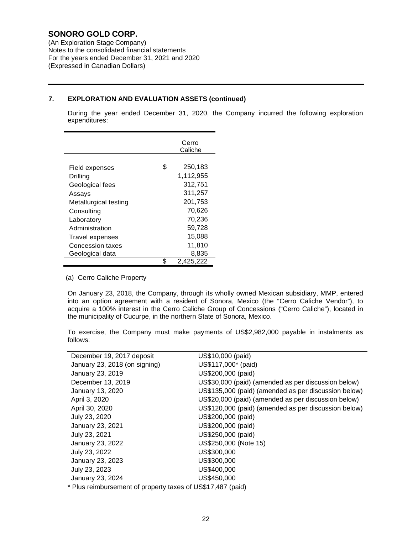(An Exploration Stage Company) Notes to the consolidated financial statements For the years ended December 31, 2021 and 2020 (Expressed in Canadian Dollars)

## **7. EXPLORATION AND EVALUATION ASSETS (continued)**

During the year ended December 31, 2020, the Company incurred the following exploration expenditures:

|                       | Cerro<br>Caliche |
|-----------------------|------------------|
|                       |                  |
| Field expenses        | \$<br>250,183    |
| Drilling              | 1,112,955        |
| Geological fees       | 312,751          |
| Assays                | 311,257          |
| Metallurgical testing | 201,753          |
| Consulting            | 70,626           |
| Laboratory            | 70,236           |
| Administration        | 59,728           |
| Travel expenses       | 15,088           |
| Concession taxes      | 11,810           |
| Geological data       | 8,835            |
|                       | \$<br>2,425,222  |

(a) Cerro Caliche Property

On January 23, 2018, the Company, through its wholly owned Mexican subsidiary, MMP, entered into an option agreement with a resident of Sonora, Mexico (the "Cerro Caliche Vendor"), to acquire a 100% interest in the Cerro Caliche Group of Concessions ("Cerro Caliche"), located in the municipality of Cucurpe, in the northern State of Sonora, Mexico.

To exercise, the Company must make payments of US\$2,982,000 payable in instalments as follows:

| December 19, 2017 deposit     | US\$10,000 (paid)                                    |
|-------------------------------|------------------------------------------------------|
| January 23, 2018 (on signing) | US\$117,000* (paid)                                  |
| January 23, 2019              | US\$200,000 (paid)                                   |
| December 13, 2019             | US\$30,000 (paid) (amended as per discussion below)  |
| January 13, 2020              | US\$135,000 (paid) (amended as per discussion below) |
| April 3, 2020                 | US\$20,000 (paid) (amended as per discussion below)  |
| April 30, 2020                | US\$120,000 (paid) (amended as per discussion below) |
| July 23, 2020                 | US\$200,000 (paid)                                   |
| January 23, 2021              | US\$200,000 (paid)                                   |
| July 23, 2021                 | US\$250,000 (paid)                                   |
| January 23, 2022              | US\$250,000 (Note 15)                                |
| July 23, 2022                 | US\$300,000                                          |
| January 23, 2023              | US\$300,000                                          |
| July 23, 2023                 | US\$400,000                                          |
| January 23, 2024              | US\$450,000                                          |
|                               |                                                      |

\* Plus reimbursement of property taxes of US\$17,487 (paid)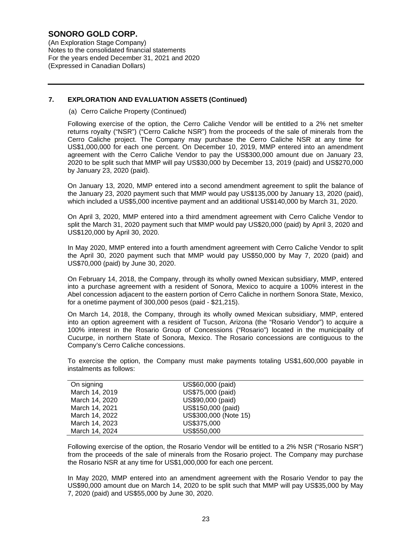(An Exploration Stage Company) Notes to the consolidated financial statements For the years ended December 31, 2021 and 2020 (Expressed in Canadian Dollars)

## **7. EXPLORATION AND EVALUATION ASSETS (Continued)**

(a) Cerro Caliche Property (Continued)

Following exercise of the option, the Cerro Caliche Vendor will be entitled to a 2% net smelter returns royalty ("NSR") ("Cerro Caliche NSR") from the proceeds of the sale of minerals from the Cerro Caliche project. The Company may purchase the Cerro Caliche NSR at any time for US\$1,000,000 for each one percent. On December 10, 2019, MMP entered into an amendment agreement with the Cerro Caliche Vendor to pay the US\$300,000 amount due on January 23, 2020 to be split such that MMP will pay US\$30,000 by December 13, 2019 (paid) and US\$270,000 by January 23, 2020 (paid).

On January 13, 2020, MMP entered into a second amendment agreement to split the balance of the January 23, 2020 payment such that MMP would pay US\$135,000 by January 13, 2020 (paid), which included a US\$5,000 incentive payment and an additional US\$140,000 by March 31, 2020.

On April 3, 2020, MMP entered into a third amendment agreement with Cerro Caliche Vendor to split the March 31, 2020 payment such that MMP would pay US\$20,000 (paid) by April 3, 2020 and US\$120,000 by April 30, 2020.

In May 2020, MMP entered into a fourth amendment agreement with Cerro Caliche Vendor to split the April 30, 2020 payment such that MMP would pay US\$50,000 by May 7, 2020 (paid) and US\$70,000 (paid) by June 30, 2020.

On February 14, 2018, the Company, through its wholly owned Mexican subsidiary, MMP, entered into a purchase agreement with a resident of Sonora, Mexico to acquire a 100% interest in the Abel concession adjacent to the eastern portion of Cerro Caliche in northern Sonora State, Mexico, for a onetime payment of 300,000 pesos (paid - \$21,215).

On March 14, 2018, the Company, through its wholly owned Mexican subsidiary, MMP, entered into an option agreement with a resident of Tucson, Arizona (the "Rosario Vendor") to acquire a 100% interest in the Rosario Group of Concessions ("Rosario") located in the municipality of Cucurpe, in northern State of Sonora, Mexico. The Rosario concessions are contiguous to the Company's Cerro Caliche concessions.

To exercise the option, the Company must make payments totaling US\$1,600,000 payable in instalments as follows:

| On signing     | US\$60,000 (paid)     |
|----------------|-----------------------|
| March 14, 2019 | US\$75,000 (paid)     |
| March 14, 2020 | US\$90,000 (paid)     |
| March 14, 2021 | US\$150,000 (paid)    |
| March 14, 2022 | US\$300,000 (Note 15) |
| March 14, 2023 | US\$375,000           |
| March 14, 2024 | US\$550,000           |

Following exercise of the option, the Rosario Vendor will be entitled to a 2% NSR ("Rosario NSR") from the proceeds of the sale of minerals from the Rosario project. The Company may purchase the Rosario NSR at any time for US\$1,000,000 for each one percent.

In May 2020, MMP entered into an amendment agreement with the Rosario Vendor to pay the US\$90,000 amount due on March 14, 2020 to be split such that MMP will pay US\$35,000 by May 7, 2020 (paid) and US\$55,000 by June 30, 2020.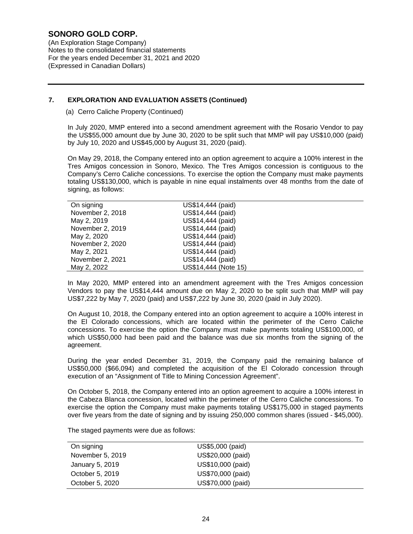(An Exploration Stage Company) Notes to the consolidated financial statements For the years ended December 31, 2021 and 2020 (Expressed in Canadian Dollars)

## **7. EXPLORATION AND EVALUATION ASSETS (Continued)**

(a) Cerro Caliche Property (Continued)

In July 2020, MMP entered into a second amendment agreement with the Rosario Vendor to pay the US\$55,000 amount due by June 30, 2020 to be split such that MMP will pay US\$10,000 (paid) by July 10, 2020 and US\$45,000 by August 31, 2020 (paid).

On May 29, 2018, the Company entered into an option agreement to acquire a 100% interest in the Tres Amigos concession in Sonoro, Mexico. The Tres Amigos concession is contiguous to the Company's Cerro Caliche concessions. To exercise the option the Company must make payments totaling US\$130,000, which is payable in nine equal instalments over 48 months from the date of signing, as follows:

| On signing       | US\$14,444 (paid)    |
|------------------|----------------------|
| November 2, 2018 | US\$14,444 (paid)    |
| May 2, 2019      | US\$14,444 (paid)    |
| November 2, 2019 | US\$14,444 (paid)    |
| May 2, 2020      | US\$14,444 (paid)    |
| November 2, 2020 | US\$14,444 (paid)    |
| May 2, 2021      | US\$14,444 (paid)    |
| November 2, 2021 | US\$14,444 (paid)    |
| May 2, 2022      | US\$14,444 (Note 15) |

In May 2020, MMP entered into an amendment agreement with the Tres Amigos concession Vendors to pay the US\$14,444 amount due on May 2, 2020 to be split such that MMP will pay US\$7,222 by May 7, 2020 (paid) and US\$7,222 by June 30, 2020 (paid in July 2020).

On August 10, 2018, the Company entered into an option agreement to acquire a 100% interest in the El Colorado concessions, which are located within the perimeter of the Cerro Caliche concessions. To exercise the option the Company must make payments totaling US\$100,000, of which US\$50,000 had been paid and the balance was due six months from the signing of the agreement.

During the year ended December 31, 2019, the Company paid the remaining balance of US\$50,000 (\$66,094) and completed the acquisition of the El Colorado concession through execution of an "Assignment of Title to Mining Concession Agreement".

On October 5, 2018, the Company entered into an option agreement to acquire a 100% interest in the Cabeza Blanca concession, located within the perimeter of the Cerro Caliche concessions. To exercise the option the Company must make payments totaling US\$175,000 in staged payments over five years from the date of signing and by issuing 250,000 common shares (issued - \$45,000).

The staged payments were due as follows:

| On signing       | US\$5,000 (paid)  |
|------------------|-------------------|
| November 5, 2019 | US\$20,000 (paid) |
| January 5, 2019  | US\$10,000 (paid) |
| October 5, 2019  | US\$70,000 (paid) |
| October 5, 2020  | US\$70,000 (paid) |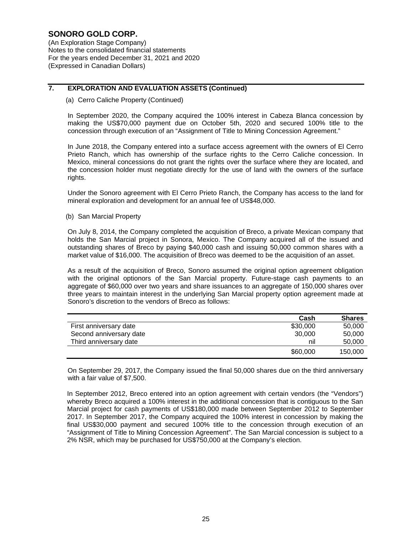(An Exploration Stage Company) Notes to the consolidated financial statements For the years ended December 31, 2021 and 2020 (Expressed in Canadian Dollars)

## **7. EXPLORATION AND EVALUATION ASSETS (Continued)**

#### (a) Cerro Caliche Property (Continued)

In September 2020, the Company acquired the 100% interest in Cabeza Blanca concession by making the US\$70,000 payment due on October 5th, 2020 and secured 100% title to the concession through execution of an "Assignment of Title to Mining Concession Agreement."

In June 2018, the Company entered into a surface access agreement with the owners of El Cerro Prieto Ranch, which has ownership of the surface rights to the Cerro Caliche concession. In Mexico, mineral concessions do not grant the rights over the surface where they are located, and the concession holder must negotiate directly for the use of land with the owners of the surface rights.

Under the Sonoro agreement with El Cerro Prieto Ranch, the Company has access to the land for mineral exploration and development for an annual fee of US\$48,000.

(b) San Marcial Property

On July 8, 2014, the Company completed the acquisition of Breco, a private Mexican company that holds the San Marcial project in Sonora, Mexico. The Company acquired all of the issued and outstanding shares of Breco by paying \$40,000 cash and issuing 50,000 common shares with a market value of \$16,000. The acquisition of Breco was deemed to be the acquisition of an asset.

As a result of the acquisition of Breco, Sonoro assumed the original option agreement obligation with the original optionors of the San Marcial property. Future-stage cash payments to an aggregate of \$60,000 over two years and share issuances to an aggregate of 150,000 shares over three years to maintain interest in the underlying San Marcial property option agreement made at Sonoro's discretion to the vendors of Breco as follows:

|                         | Cash     | <b>Shares</b> |
|-------------------------|----------|---------------|
| First anniversary date  | \$30,000 | 50,000        |
| Second anniversary date | 30,000   | 50,000        |
| Third anniversary date  | nil      | 50,000        |
|                         | \$60,000 | 150,000       |

On September 29, 2017, the Company issued the final 50,000 shares due on the third anniversary with a fair value of \$7,500.

In September 2012, Breco entered into an option agreement with certain vendors (the "Vendors") whereby Breco acquired a 100% interest in the additional concession that is contiguous to the San Marcial project for cash payments of US\$180,000 made between September 2012 to September 2017. In September 2017, the Company acquired the 100% interest in concession by making the final US\$30,000 payment and secured 100% title to the concession through execution of an "Assignment of Title to Mining Concession Agreement". The San Marcial concession is subject to a 2% NSR, which may be purchased for US\$750,000 at the Company's election.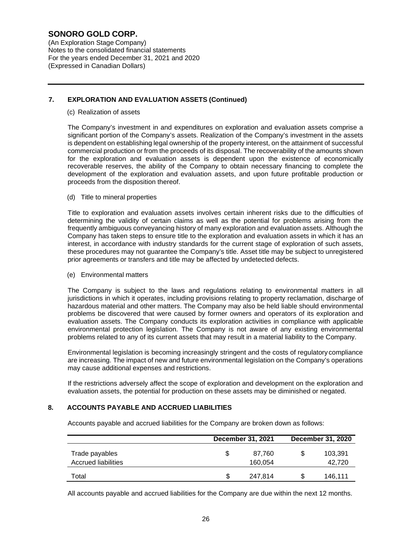(An Exploration Stage Company) Notes to the consolidated financial statements For the years ended December 31, 2021 and 2020 (Expressed in Canadian Dollars)

## **7. EXPLORATION AND EVALUATION ASSETS (Continued)**

### (c) Realization of assets

The Company's investment in and expenditures on exploration and evaluation assets comprise a significant portion of the Company's assets. Realization of the Company's investment in the assets is dependent on establishing legal ownership of the property interest, on the attainment of successful commercial production or from the proceeds of its disposal. The recoverability of the amounts shown for the exploration and evaluation assets is dependent upon the existence of economically recoverable reserves, the ability of the Company to obtain necessary financing to complete the development of the exploration and evaluation assets, and upon future profitable production or proceeds from the disposition thereof.

### (d) Title to mineral properties

Title to exploration and evaluation assets involves certain inherent risks due to the difficulties of determining the validity of certain claims as well as the potential for problems arising from the frequently ambiguous conveyancing history of many exploration and evaluation assets. Although the Company has taken steps to ensure title to the exploration and evaluation assets in which it has an interest, in accordance with industry standards for the current stage of exploration of such assets, these procedures may not guarantee the Company's title. Asset title may be subject to unregistered prior agreements or transfers and title may be affected by undetected defects.

## (e) Environmental matters

The Company is subject to the laws and regulations relating to environmental matters in all jurisdictions in which it operates, including provisions relating to property reclamation, discharge of hazardous material and other matters. The Company may also be held liable should environmental problems be discovered that were caused by former owners and operators of its exploration and evaluation assets. The Company conducts its exploration activities in compliance with applicable environmental protection legislation. The Company is not aware of any existing environmental problems related to any of its current assets that may result in a material liability to the Company.

Environmental legislation is becoming increasingly stringent and the costs of regulatory compliance are increasing. The impact of new and future environmental legislation on the Company's operations may cause additional expenses and restrictions.

If the restrictions adversely affect the scope of exploration and development on the exploration and evaluation assets, the potential for production on these assets may be diminished or negated.

## **8. ACCOUNTS PAYABLE AND ACCRUED LIABILITIES**

Accounts payable and accrued liabilities for the Company are broken down as follows:

|                                       |     | December 31, 2021 |  | <b>December 31, 2020</b> |
|---------------------------------------|-----|-------------------|--|--------------------------|
| Trade payables<br>Accrued liabilities | S   | 87.760<br>160.054 |  | 103,391<br>42.720        |
| Total                                 | \$. | 247.814           |  | 146.111                  |

All accounts payable and accrued liabilities for the Company are due within the next 12 months.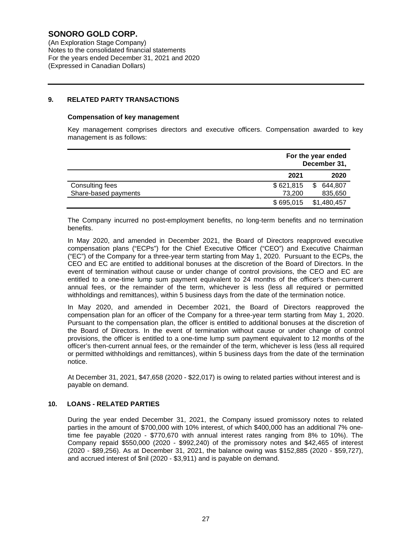(An Exploration Stage Company) Notes to the consolidated financial statements For the years ended December 31, 2021 and 2020 (Expressed in Canadian Dollars)

## **9. RELATED PARTY TRANSACTIONS**

#### **Compensation of key management**

Key management comprises directors and executive officers. Compensation awarded to key management is as follows:

|                      |           | For the year ended<br>December 31, |
|----------------------|-----------|------------------------------------|
|                      | 2021      | 2020                               |
| Consulting fees      | \$621,815 | 644,807<br>S                       |
| Share-based payments | 73.200    | 835,650                            |
|                      | \$695,015 | \$1,480,457                        |

The Company incurred no post-employment benefits, no long-term benefits and no termination benefits.

In May 2020, and amended in December 2021, the Board of Directors reapproved executive compensation plans ("ECPs") for the Chief Executive Officer ("CEO") and Executive Chairman ("EC") of the Company for a three-year term starting from May 1, 2020. Pursuant to the ECPs, the CEO and EC are entitled to additional bonuses at the discretion of the Board of Directors. In the event of termination without cause or under change of control provisions, the CEO and EC are entitled to a one-time lump sum payment equivalent to 24 months of the officer's then-current annual fees, or the remainder of the term, whichever is less (less all required or permitted withholdings and remittances), within 5 business days from the date of the termination notice.

In May 2020, and amended in December 2021, the Board of Directors reapproved the compensation plan for an officer of the Company for a three-year term starting from May 1, 2020. Pursuant to the compensation plan, the officer is entitled to additional bonuses at the discretion of the Board of Directors. In the event of termination without cause or under change of control provisions, the officer is entitled to a one-time lump sum payment equivalent to 12 months of the officer's then-current annual fees, or the remainder of the term, whichever is less (less all required or permitted withholdings and remittances), within 5 business days from the date of the termination notice.

At December 31, 2021, \$47,658 (2020 - \$22,017) is owing to related parties without interest and is payable on demand.

#### **10. LOANS - RELATED PARTIES**

During the year ended December 31, 2021, the Company issued promissory notes to related parties in the amount of \$700,000 with 10% interest, of which \$400,000 has an additional 7% onetime fee payable (2020 - \$770,670 with annual interest rates ranging from 8% to 10%). The Company repaid \$550,000 (2020 - \$992,240) of the promissory notes and \$42,465 of interest (2020 - \$89,256). As at December 31, 2021, the balance owing was \$152,885 (2020 - \$59,727), and accrued interest of \$nil (2020 - \$3,911) and is payable on demand.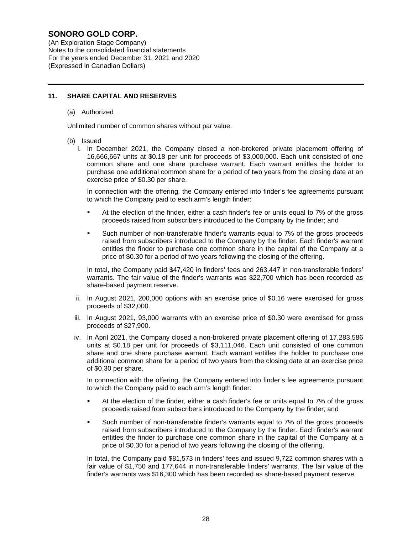(An Exploration Stage Company) Notes to the consolidated financial statements For the years ended December 31, 2021 and 2020 (Expressed in Canadian Dollars)

### **11. SHARE CAPITAL AND RESERVES**

#### (a) Authorized

Unlimited number of common shares without par value.

#### (b) Issued

i. In December 2021, the Company closed a non-brokered private placement offering of 16,666,667 units at \$0.18 per unit for proceeds of \$3,000,000. Each unit consisted of one common share and one share purchase warrant. Each warrant entitles the holder to purchase one additional common share for a period of two years from the closing date at an exercise price of \$0.30 per share.

In connection with the offering, the Company entered into finder's fee agreements pursuant to which the Company paid to each arm's length finder:

- At the election of the finder, either a cash finder's fee or units equal to 7% of the gross proceeds raised from subscribers introduced to the Company by the finder; and
- Such number of non-transferable finder's warrants equal to 7% of the gross proceeds raised from subscribers introduced to the Company by the finder. Each finder's warrant entitles the finder to purchase one common share in the capital of the Company at a price of \$0.30 for a period of two years following the closing of the offering.

In total, the Company paid \$47,420 in finders' fees and 263,447 in non-transferable finders' warrants. The fair value of the finder's warrants was \$22,700 which has been recorded as share-based payment reserve.

- ii. In August 2021, 200,000 options with an exercise price of \$0.16 were exercised for gross proceeds of \$32,000.
- iii. In August 2021, 93,000 warrants with an exercise price of \$0.30 were exercised for gross proceeds of \$27,900.
- iv. In April 2021, the Company closed a non-brokered private placement offering of 17,283,586 units at \$0.18 per unit for proceeds of \$3,111,046. Each unit consisted of one common share and one share purchase warrant. Each warrant entitles the holder to purchase one additional common share for a period of two years from the closing date at an exercise price of \$0.30 per share.

In connection with the offering, the Company entered into finder's fee agreements pursuant to which the Company paid to each arm's length finder:

- At the election of the finder, either a cash finder's fee or units equal to 7% of the gross proceeds raised from subscribers introduced to the Company by the finder; and
- Such number of non-transferable finder's warrants equal to 7% of the gross proceeds raised from subscribers introduced to the Company by the finder. Each finder's warrant entitles the finder to purchase one common share in the capital of the Company at a price of \$0.30 for a period of two years following the closing of the offering.

In total, the Company paid \$81,573 in finders' fees and issued 9,722 common shares with a fair value of \$1,750 and 177,644 in non-transferable finders' warrants. The fair value of the finder's warrants was \$16,300 which has been recorded as share-based payment reserve.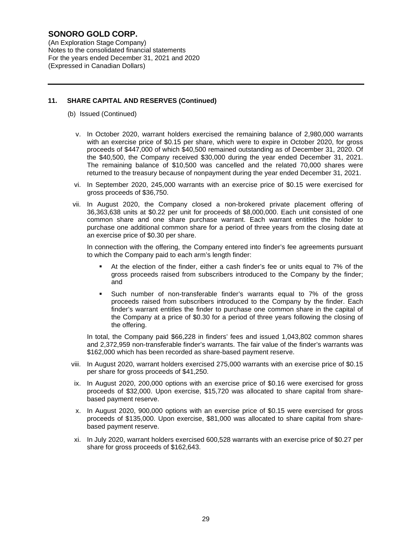(An Exploration Stage Company) Notes to the consolidated financial statements For the years ended December 31, 2021 and 2020 (Expressed in Canadian Dollars)

### **11. SHARE CAPITAL AND RESERVES (Continued)**

- (b) Issued (Continued)
	- v. In October 2020, warrant holders exercised the remaining balance of 2,980,000 warrants with an exercise price of \$0.15 per share, which were to expire in October 2020, for gross proceeds of \$447,000 of which \$40,500 remained outstanding as of December 31, 2020. Of the \$40,500, the Company received \$30,000 during the year ended December 31, 2021. The remaining balance of \$10,500 was cancelled and the related 70,000 shares were returned to the treasury because of nonpayment during the year ended December 31, 2021.
	- vi. In September 2020, 245,000 warrants with an exercise price of \$0.15 were exercised for gross proceeds of \$36,750.
	- vii. In August 2020, the Company closed a non-brokered private placement offering of 36,363,638 units at \$0.22 per unit for proceeds of \$8,000,000. Each unit consisted of one common share and one share purchase warrant. Each warrant entitles the holder to purchase one additional common share for a period of three years from the closing date at an exercise price of \$0.30 per share.

In connection with the offering, the Company entered into finder's fee agreements pursuant to which the Company paid to each arm's length finder:

- At the election of the finder, either a cash finder's fee or units equal to 7% of the gross proceeds raised from subscribers introduced to the Company by the finder; and
- Such number of non-transferable finder's warrants equal to 7% of the gross proceeds raised from subscribers introduced to the Company by the finder. Each finder's warrant entitles the finder to purchase one common share in the capital of the Company at a price of \$0.30 for a period of three years following the closing of the offering.

In total, the Company paid \$66,228 in finders' fees and issued 1,043,802 common shares and 2,372,959 non-transferable finder's warrants. The fair value of the finder's warrants was \$162,000 which has been recorded as share-based payment reserve.

- viii. In August 2020, warrant holders exercised 275,000 warrants with an exercise price of \$0.15 per share for gross proceeds of \$41,250.
- ix. In August 2020, 200,000 options with an exercise price of \$0.16 were exercised for gross proceeds of \$32,000. Upon exercise, \$15,720 was allocated to share capital from sharebased payment reserve.
- x. In August 2020, 900,000 options with an exercise price of \$0.15 were exercised for gross proceeds of \$135,000. Upon exercise, \$81,000 was allocated to share capital from sharebased payment reserve.
- xi. In July 2020, warrant holders exercised 600,528 warrants with an exercise price of \$0.27 per share for gross proceeds of \$162,643.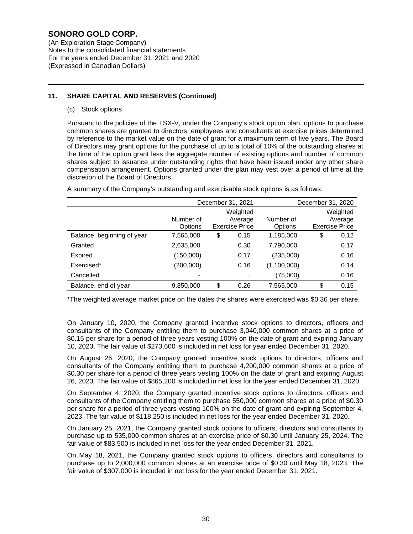(An Exploration Stage Company) Notes to the consolidated financial statements For the years ended December 31, 2021 and 2020 (Expressed in Canadian Dollars)

## **11. SHARE CAPITAL AND RESERVES (Continued)**

### (c) Stock options

Pursuant to the policies of the TSX-V, under the Company's stock option plan, options to purchase common shares are granted to directors, employees and consultants at exercise prices determined by reference to the market value on the date of grant for a maximum term of five years. The Board of Directors may grant options for the purchase of up to a total of 10% of the outstanding shares at the time of the option grant less the aggregate number of existing options and number of common shares subject to issuance under outstanding rights that have been issued under any other share compensation arrangement. Options granted under the plan may vest over a period of time at the discretion of the Board of Directors.

|                            | December 31, 2021    |    |                                              |                      | December 31, 2020 |                                              |
|----------------------------|----------------------|----|----------------------------------------------|----------------------|-------------------|----------------------------------------------|
|                            | Number of<br>Options |    | Weighted<br>Average<br><b>Exercise Price</b> | Number of<br>Options |                   | Weighted<br>Average<br><b>Exercise Price</b> |
| Balance, beginning of year | 7,565,000            | \$ | 0.15                                         | 1,185,000            | \$                | 0.12                                         |
| Granted                    | 2,635,000            |    | 0.30                                         | 7,790,000            |                   | 0.17                                         |
| Expired                    | (150,000)            |    | 0.17                                         | (235,000)            |                   | 0.16                                         |
| Exercised*                 | (200,000)            |    | 0.16                                         | (1,100,000)          |                   | 0.14                                         |
| Cancelled                  |                      |    |                                              | (75,000)             |                   | 0.16                                         |
| Balance, end of year       | 9,850,000            | \$ | 0.26                                         | 7,565,000            | \$                | 0.15                                         |

A summary of the Company's outstanding and exercisable stock options is as follows:

\*The weighted average market price on the dates the shares were exercised was \$0.36 per share.

On January 10, 2020, the Company granted incentive stock options to directors, officers and consultants of the Company entitling them to purchase 3,040,000 common shares at a price of \$0.15 per share for a period of three years vesting 100% on the date of grant and expiring January 10, 2023. The fair value of \$273,600 is included in net loss for year ended December 31, 2020.

On August 26, 2020, the Company granted incentive stock options to directors, officers and consultants of the Company entitling them to purchase 4,200,000 common shares at a price of \$0.30 per share for a period of three years vesting 100% on the date of grant and expiring August 26, 2023. The fair value of \$865,200 is included in net loss for the year ended December 31, 2020.

On September 4, 2020, the Company granted incentive stock options to directors, officers and consultants of the Company entitling them to purchase 550,000 common shares at a price of \$0.30 per share for a period of three years vesting 100% on the date of grant and expiring September 4, 2023. The fair value of \$118,250 is included in net loss for the year ended December 31, 2020.

On January 25, 2021, the Company granted stock options to officers, directors and consultants to purchase up to 535,000 common shares at an exercise price of \$0.30 until January 25, 2024. The fair value of \$83,500 is included in net loss for the year ended December 31, 2021.

On May 18, 2021, the Company granted stock options to officers, directors and consultants to purchase up to 2,000,000 common shares at an exercise price of \$0.30 until May 18, 2023. The fair value of \$307,000 is included in net loss for the year ended December 31, 2021.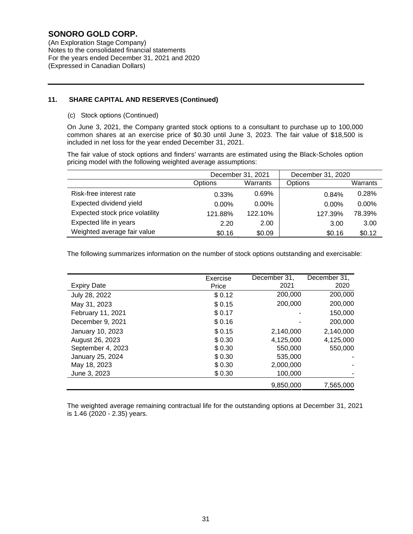(An Exploration Stage Company) Notes to the consolidated financial statements For the years ended December 31, 2021 and 2020 (Expressed in Canadian Dollars)

### **11. SHARE CAPITAL AND RESERVES (Continued)**

(c) Stock options (Continued)

On June 3, 2021, the Company granted stock options to a consultant to purchase up to 100,000 common shares at an exercise price of \$0.30 until June 3, 2023. The fair value of \$18,500 is included in net loss for the year ended December 31, 2021.

The fair value of stock options and finders' warrants are estimated using the Black-Scholes option pricing model with the following weighted average assumptions:

|                                 | December 31, 2021 |          | December 31, 2020 |          |
|---------------------------------|-------------------|----------|-------------------|----------|
|                                 | Options           | Warrants | Options           | Warrants |
| Risk-free interest rate         | 0.33%             | 0.69%    | 0.84%             | 0.28%    |
| Expected dividend yield         | $0.00\%$          | $0.00\%$ | $0.00\%$          | $0.00\%$ |
| Expected stock price volatility | 121.88%           | 122.10%  | 127.39%           | 78.39%   |
| Expected life in years          | 2.20              | 2.00     | 3.00              | 3.00     |
| Weighted average fair value     | \$0.16            | \$0.09   | \$0.16            | \$0.12   |

The following summarizes information on the number of stock options outstanding and exercisable:

|                    | Exercise | December 31, | December 31, |
|--------------------|----------|--------------|--------------|
| <b>Expiry Date</b> | Price    | 2021         | 2020         |
| July 28, 2022      | \$0.12   | 200,000      | 200,000      |
| May 31, 2023       | \$0.15   | 200,000      | 200,000      |
| February 11, 2021  | \$0.17   |              | 150,000      |
| December 9, 2021   | \$0.16   |              | 200,000      |
| January 10, 2023   | \$0.15   | 2,140,000    | 2,140,000    |
| August 26, 2023    | \$0.30   | 4,125,000    | 4,125,000    |
| September 4, 2023  | \$0.30   | 550,000      | 550,000      |
| January 25, 2024   | \$0.30   | 535,000      |              |
| May 18, 2023       | \$0.30   | 2,000,000    |              |
| June 3, 2023       | \$0.30   | 100,000      |              |
|                    |          | 9,850,000    | 7,565,000    |

The weighted average remaining contractual life for the outstanding options at December 31, 2021 is 1.46 (2020 - 2.35) years.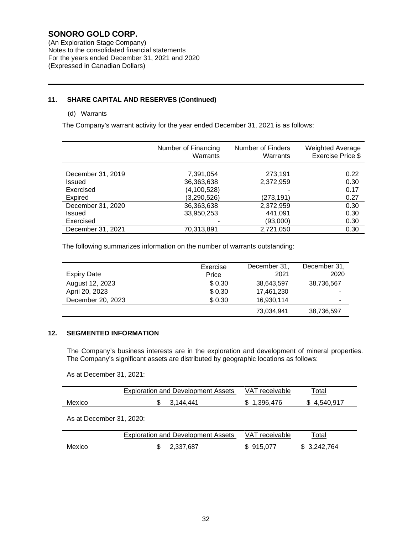(An Exploration Stage Company) Notes to the consolidated financial statements For the years ended December 31, 2021 and 2020 (Expressed in Canadian Dollars)

## **11. SHARE CAPITAL AND RESERVES (Continued)**

#### (d) Warrants

The Company's warrant activity for the year ended December 31, 2021 is as follows:

|                   | Number of Financing<br>Warrants | Number of Finders<br>Warrants | <b>Weighted Average</b><br>Exercise Price \$ |
|-------------------|---------------------------------|-------------------------------|----------------------------------------------|
| December 31, 2019 | 7,391,054                       | 273,191                       | 0.22                                         |
| Issued            | 36,363,638                      | 2,372,959                     | 0.30                                         |
| Exercised         | (4,100,528)                     |                               | 0.17                                         |
| Expired           | (3,290,526)                     | (273,191)                     | 0.27                                         |
| December 31, 2020 | 36,363,638                      | 2,372,959                     | 0.30                                         |
| Issued            | 33,950,253                      | 441,091                       | 0.30                                         |
| Exercised         |                                 | (93,000)                      | 0.30                                         |
| December 31, 2021 | 70,313,891                      | 2,721,050                     | 0.30                                         |

The following summarizes information on the number of warrants outstanding:

| <b>Expiry Date</b> | Exercise<br>Price | December 31,<br>2021 | December 31,<br>2020 |
|--------------------|-------------------|----------------------|----------------------|
| August 12, 2023    | \$0.30            | 38.643.597           | 38,736,567           |
| April 20, 2023     | \$0.30            | 17,461,230           |                      |
| December 20, 2023  | \$0.30            | 16,930,114           | ۰                    |
|                    |                   | 73,034,941           | 38,736,597           |

## **12. SEGMENTED INFORMATION**

The Company's business interests are in the exploration and development of mineral properties. The Company's significant assets are distributed by geographic locations as follows:

As at December 31, 2021:

|        | <b>Exploration and Development Assets</b> | VAT receivable | Total       |  |
|--------|-------------------------------------------|----------------|-------------|--|
| Mexico | 3.144.441                                 | \$1.396.476    | \$4.540.917 |  |

As at December 31, 2020:

|        | <b>Exploration and Development Assets</b> | VAT receivable | ™otal        |  |
|--------|-------------------------------------------|----------------|--------------|--|
| Mexico | 2.337.687                                 | \$915,077      | \$ 3.242.764 |  |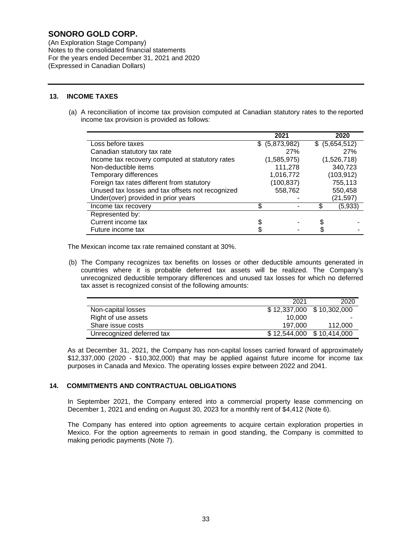(An Exploration Stage Company) Notes to the consolidated financial statements For the years ended December 31, 2021 and 2020 (Expressed in Canadian Dollars)

### **13. INCOME TAXES**

(a) A reconciliation of income tax provision computed at Canadian statutory rates to the reported income tax provision is provided as follows:

|                                                  | 2021            | 2020            |
|--------------------------------------------------|-----------------|-----------------|
| Loss before taxes                                | $$$ (5,873,982) | $$$ (5,654,512) |
| Canadian statutory tax rate                      | 27%             | 27%             |
| Income tax recovery computed at statutory rates  | (1,585,975)     | (1,526,718)     |
| Non-deductible items                             | 111,278         | 340,723         |
| Temporary differences                            | 1,016,772       | (103, 912)      |
| Foreign tax rates different from statutory       | (100,837)       | 755,113         |
| Unused tax losses and tax offsets not recognized | 558,762         | 550,458         |
| Under(over) provided in prior years              |                 | (21, 597)       |
| Income tax recovery                              | \$              | (5,933)         |
| Represented by:                                  |                 |                 |
| Current income tax                               |                 |                 |
| Future income tax                                | \$              |                 |

The Mexican income tax rate remained constant at 30%.

(b) The Company recognizes tax benefits on losses or other deductible amounts generated in countries where it is probable deferred tax assets will be realized. The Company's unrecognized deductible temporary differences and unused tax losses for which no deferred tax asset is recognized consist of the following amounts:

|                           | 2021                      | 2020                        |
|---------------------------|---------------------------|-----------------------------|
| Non-capital losses        | \$12,337,000 \$10,302,000 |                             |
| Right of use assets       | 10.000                    |                             |
| Share issue costs         | 197.000                   | 112.000                     |
| Unrecognized deferred tax |                           | $$12,544,000$ $$10,414,000$ |

As at December 31, 2021, the Company has non-capital losses carried forward of approximately \$12,337,000 (2020 - \$10,302,000) that may be applied against future income for income tax purposes in Canada and Mexico. The operating losses expire between 2022 and 2041.

## **14. COMMITMENTS AND CONTRACTUAL OBLIGATIONS**

In September 2021, the Company entered into a commercial property lease commencing on December 1, 2021 and ending on August 30, 2023 for a monthly rent of \$4,412 (Note 6).

The Company has entered into option agreements to acquire certain exploration properties in Mexico. For the option agreements to remain in good standing, the Company is committed to making periodic payments (Note 7).